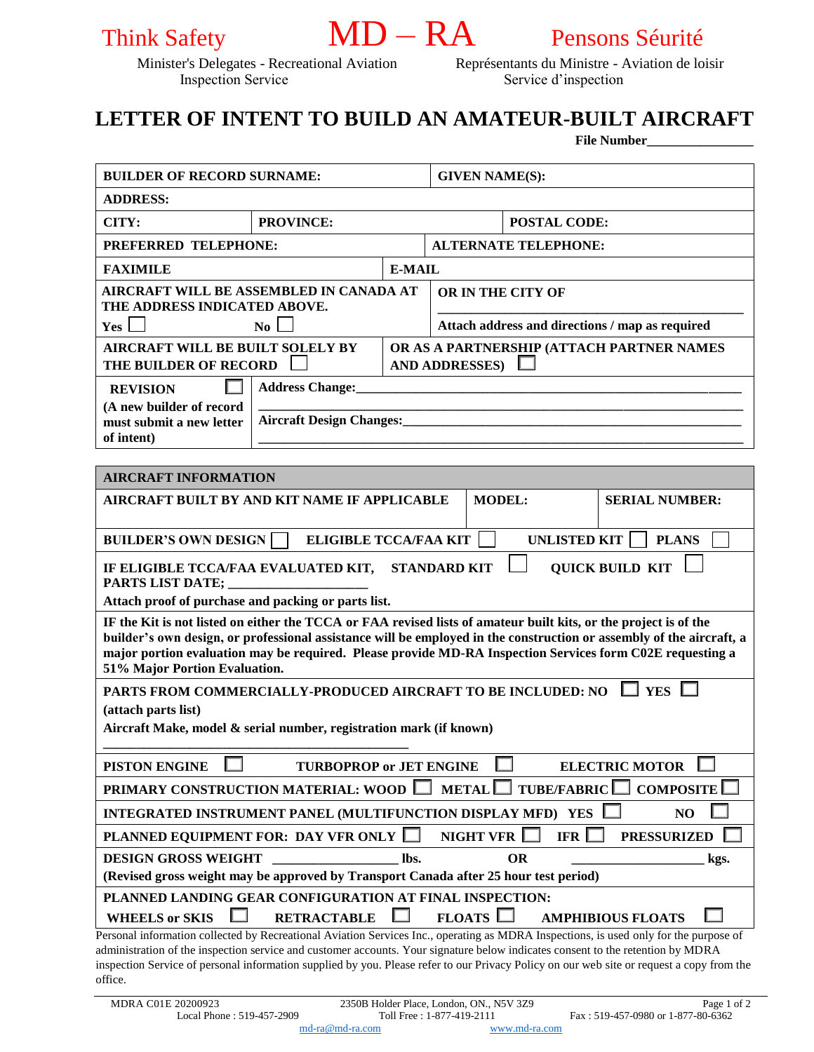



Inspection Service Service d'inspection

Minister's Delegates - Recreational Aviation Représentants du Ministre - Aviation de loisir

# **LETTER OF INTENT TO BUILD AN AMATEUR-BUILT AIRCRAFT**

**File Number\_\_\_\_\_\_\_\_\_\_\_\_\_\_\_\_**

| <b>BUILDER OF RECORD SURNAME:</b>                                                                                                                                                                                                                                                                                                                                                      |                  |                       | <b>GIVEN NAME(S):</b>                           |               |           |  |                       |      |
|----------------------------------------------------------------------------------------------------------------------------------------------------------------------------------------------------------------------------------------------------------------------------------------------------------------------------------------------------------------------------------------|------------------|-----------------------|-------------------------------------------------|---------------|-----------|--|-----------------------|------|
| <b>ADDRESS:</b>                                                                                                                                                                                                                                                                                                                                                                        |                  |                       |                                                 |               |           |  |                       |      |
| CITY:                                                                                                                                                                                                                                                                                                                                                                                  | <b>PROVINCE:</b> |                       | <b>POSTAL CODE:</b>                             |               |           |  |                       |      |
| PREFERRED TELEPHONE:                                                                                                                                                                                                                                                                                                                                                                   |                  |                       | <b>ALTERNATE TELEPHONE:</b>                     |               |           |  |                       |      |
| <b>FAXIMILE</b>                                                                                                                                                                                                                                                                                                                                                                        |                  |                       | <b>E-MAIL</b>                                   |               |           |  |                       |      |
| AIRCRAFT WILL BE ASSEMBLED IN CANADA AT                                                                                                                                                                                                                                                                                                                                                |                  |                       | OR IN THE CITY OF                               |               |           |  |                       |      |
| THE ADDRESS INDICATED ABOVE.<br>Yes L<br>$\overline{N_0}$                                                                                                                                                                                                                                                                                                                              |                  |                       | Attach address and directions / map as required |               |           |  |                       |      |
| <b>AIRCRAFT WILL BE BUILT SOLELY BY</b>                                                                                                                                                                                                                                                                                                                                                |                  |                       | OR AS A PARTNERSHIP (ATTACH PARTNER NAMES       |               |           |  |                       |      |
| THE BUILDER OF RECORD                                                                                                                                                                                                                                                                                                                                                                  |                  | <b>AND ADDRESSES)</b> |                                                 |               |           |  |                       |      |
| <b>Address Change:_</b><br><b>REVISION</b>                                                                                                                                                                                                                                                                                                                                             |                  |                       |                                                 |               |           |  |                       |      |
| (A new builder of record<br><b>Aircraft Design Changes:</b><br>must submit a new letter                                                                                                                                                                                                                                                                                                |                  |                       |                                                 |               |           |  |                       |      |
| of intent)                                                                                                                                                                                                                                                                                                                                                                             |                  |                       |                                                 |               |           |  |                       |      |
|                                                                                                                                                                                                                                                                                                                                                                                        |                  |                       |                                                 |               |           |  |                       |      |
| <b>AIRCRAFT INFORMATION</b>                                                                                                                                                                                                                                                                                                                                                            |                  |                       |                                                 |               |           |  |                       |      |
| AIRCRAFT BUILT BY AND KIT NAME IF APPLICABLE                                                                                                                                                                                                                                                                                                                                           |                  |                       |                                                 | <b>MODEL:</b> |           |  | <b>SERIAL NUMBER:</b> |      |
| <b>ELIGIBLE TCCA/FAA KIT</b><br><b>UNLISTED KIT</b><br><b>PLANS</b><br><b>BUILDER'S OWN DESIGN</b>                                                                                                                                                                                                                                                                                     |                  |                       |                                                 |               |           |  |                       |      |
| IF ELIGIBLE TCCA/FAA EVALUATED KIT, STANDARD KIT<br><b>QUICK BUILD KIT</b><br>PARTS LIST DATE;                                                                                                                                                                                                                                                                                         |                  |                       |                                                 |               |           |  |                       |      |
| Attach proof of purchase and packing or parts list.                                                                                                                                                                                                                                                                                                                                    |                  |                       |                                                 |               |           |  |                       |      |
| IF the Kit is not listed on either the TCCA or FAA revised lists of amateur built kits, or the project is of the<br>builder's own design, or professional assistance will be employed in the construction or assembly of the aircraft, a<br>major portion evaluation may be required. Please provide MD-RA Inspection Services form C02E requesting a<br>51% Major Portion Evaluation. |                  |                       |                                                 |               |           |  |                       |      |
| $\perp$ YES<br>PARTS FROM COMMERCIALLY-PRODUCED AIRCRAFT TO BE INCLUDED: NO                                                                                                                                                                                                                                                                                                            |                  |                       |                                                 |               |           |  |                       |      |
| (attach parts list)                                                                                                                                                                                                                                                                                                                                                                    |                  |                       |                                                 |               |           |  |                       |      |
| Aircraft Make, model & serial number, registration mark (if known)                                                                                                                                                                                                                                                                                                                     |                  |                       |                                                 |               |           |  |                       |      |
| <b>TURBOPROP or JET ENGINE</b><br><b>ELECTRIC MOTOR</b><br><b>PISTON ENGINE</b>                                                                                                                                                                                                                                                                                                        |                  |                       |                                                 |               |           |  |                       |      |
| <b>TUBE/FABRIC</b><br><b>COMPOSITE</b><br><b>PRIMARY CONSTRUCTION MATERIAL: WOOD</b><br><b>METAL</b>                                                                                                                                                                                                                                                                                   |                  |                       |                                                 |               |           |  |                       |      |
| INTEGRATED INSTRUMENT PANEL (MULTIFUNCTION DISPLAY MFD) YES<br>N <sub>O</sub>                                                                                                                                                                                                                                                                                                          |                  |                       |                                                 |               |           |  |                       |      |
| <b>NIGHT VFR</b><br><b>IFR</b><br>PLANNED EQUIPMENT FOR: DAY VFR ONLY I<br><b>PRESSURIZED</b>                                                                                                                                                                                                                                                                                          |                  |                       |                                                 |               |           |  |                       |      |
| <b>DESIGN GROSS WEIGHT</b>                                                                                                                                                                                                                                                                                                                                                             |                  | lbs.                  |                                                 |               | <b>OR</b> |  |                       | kgs. |
| (Revised gross weight may be approved by Transport Canada after 25 hour test period)                                                                                                                                                                                                                                                                                                   |                  |                       |                                                 |               |           |  |                       |      |
| PLANNED LANDING GEAR CONFIGURATION AT FINAL INSPECTION:<br><b>FLOATS</b><br><b>WHEELS or SKIS</b><br><b>RETRACTABLE</b><br><b>AMPHIBIOUS FLOATS</b>                                                                                                                                                                                                                                    |                  |                       |                                                 |               |           |  |                       |      |
| Personal information collected by Recreational Aviation Services Inc., operating as MDRA Inspections, is used only for the purpose of                                                                                                                                                                                                                                                  |                  |                       |                                                 |               |           |  |                       |      |
| administration of the inspection service and customer accounts. Your signature below indicates consent to the retention by MDRA<br>inspection Service of personal information supplied by you. Please refer to our Privacy Policy on our web site or request a copy from the                                                                                                           |                  |                       |                                                 |               |           |  |                       |      |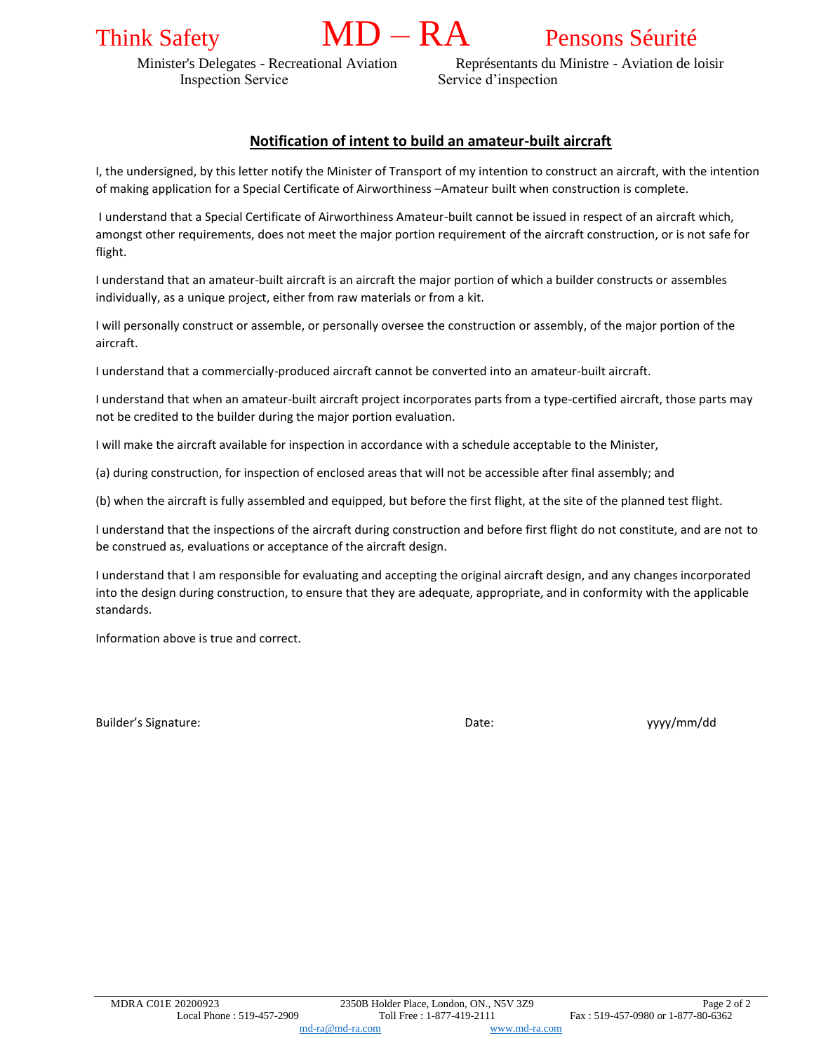# Think Safety **MD** – **RA** Pensons Séurité

Inspection Service Service Service d'inspection

Minister's Delegates - Recreational Aviation Représentants du Ministre - Aviation de loisir

### **Notification of intent to build an amateur-built aircraft**

I, the undersigned, by this letter notify the Minister of Transport of my intention to construct an aircraft, with the intention of making application for a Special Certificate of Airworthiness –Amateur built when construction is complete.

I understand that a Special Certificate of Airworthiness Amateur-built cannot be issued in respect of an aircraft which, amongst other requirements, does not meet the major portion requirement of the aircraft construction, or is not safe for flight.

I understand that an amateur-built aircraft is an aircraft the major portion of which a builder constructs or assembles individually, as a unique project, either from raw materials or from a kit.

I will personally construct or assemble, or personally oversee the construction or assembly, of the major portion of the aircraft.

I understand that a commercially-produced aircraft cannot be converted into an amateur-built aircraft.

I understand that when an amateur-built aircraft project incorporates parts from a type-certified aircraft, those parts may not be credited to the builder during the major portion evaluation.

I will make the aircraft available for inspection in accordance with a schedule acceptable to the Minister,

(a) during construction, for inspection of enclosed areas that will not be accessible after final assembly; and

(b) when the aircraft is fully assembled and equipped, but before the first flight, at the site of the planned test flight.

I understand that the inspections of the aircraft during construction and before first flight do not constitute, and are not to be construed as, evaluations or acceptance of the aircraft design.

I understand that I am responsible for evaluating and accepting the original aircraft design, and any changes incorporated into the design during construction, to ensure that they are adequate, appropriate, and in conformity with the applicable standards.

Information above is true and correct.

Builder's Signature: The Contract of the Contract of Contract Date: The Contract of the Contract of the Contract of Date: The Contract of the Contract of the Contract of the Contract of the Contract of the Contract of the